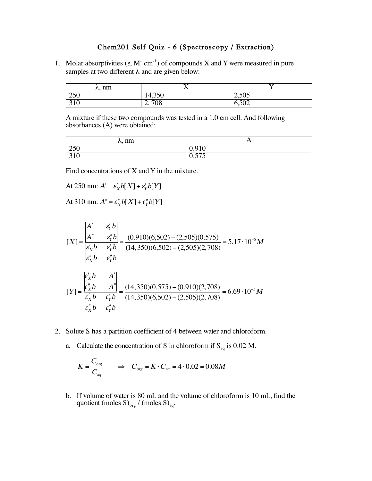## Chem201 Self Quiz - 6 (Spectroscopy / Extraction)

1. Molar absorptivities  $(\epsilon, M^{-1}cm^{-1})$  of compounds X and Y were measured in pure samples at two different  $\lambda$  and are given below:

| $\lambda$ , nm   |               |       |
|------------------|---------------|-------|
| 250              | 250<br>14,300 | 2,505 |
| $\n 10\n$<br>510 | 2,708         | 6,502 |

A mixture if these two compounds was tested in a 1.0 cm cell. And following absorbances (A) were obtained:

| nm<br>∿-                       | $\mathbf{r}$                           |
|--------------------------------|----------------------------------------|
| <b>250</b>                     | 0.910                                  |
| $\bigcap$ 1 $\bigcap$<br>J I V | $\overline{r}$ $\overline{r}$<br>0.015 |

Find concentrations of X and Y in the mixture.

At 250 nm:  $A' = \varepsilon_X' b[X] + \varepsilon_Y' b[Y]$ 

At 310 nm:  $A'' = \varepsilon''_X b[X] + \varepsilon''_Y b[Y]$ 

$$
[X] = \frac{\begin{vmatrix} A' & \varepsilon'_Y b \\ A'' & \varepsilon''_Y b \end{vmatrix}}{\begin{vmatrix} \varepsilon'_X b & \varepsilon'_Y b \\ \varepsilon''_X b & \varepsilon''_Y b \end{vmatrix}} = \frac{(0.910)(6,502) - (2,505)(0.575)}{(14,350)(6,502) - (2,505)(2,708)} = 5.17 \cdot 10^{-5} M
$$
  
\n
$$
[Y] = \frac{\begin{vmatrix} \varepsilon'_X b & A' \\ \varepsilon''_X b & A'' \end{vmatrix}}{\begin{vmatrix} \varepsilon'_X b & \varepsilon'_Y b \\ \varepsilon''_X b & \varepsilon''_Y b \end{vmatrix}} = \frac{(14,350)(0.575) - (0.910)(2,708)}{(14,350)(6,502) - (2,505)(2,708)} = 6.69 \cdot 10^{-5} M
$$

- 2. Solute S has a partition coefficient of 4 between water and chloroform.
	- a. Calculate the concentration of S in chloroform if  $S_{aq}$  is 0.02 M.

$$
K = \frac{C_{org}}{C_{aq}} \qquad \Rightarrow \quad C_{org} = K \cdot C_{aq} = 4 \cdot 0.02 = 0.08M
$$

b. If volume of water is 80 mL and the volume of chloroform is 10 mL, find the quotient (moles  $S)_{org}$  / (moles  $S)_{aq}$ .